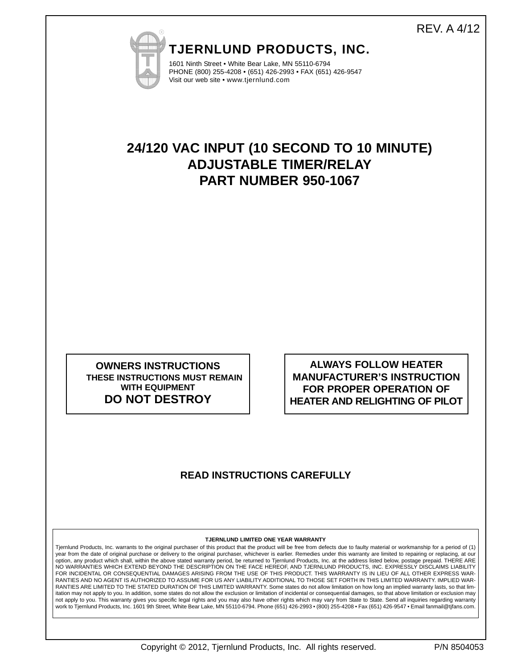## REV. A 4/12



**TJERNLUND PRODUCTS, INC.**

1601 Ninth Street • White Bear Lake, MN 55110-6794 PHONE (800) 255-4208 • (651) 426-2993 • FAX (651) 426-9547 Visit our web site • www.tjernlund.com

# **24/120 VAC INPUT (10 SECOND TO 10 MINUTE) ADJUSTABLE TIMER/RELAY PART NUMBER 950-1067**

**OWNERS INSTRUCTIONS THESE INSTRUCTIONS MUST REMAIN WITH EQUIPMENT DO NOT DESTROY**

**ALWAYS FOLLOW HEATER MANUFACTURER'S INSTRUCTION FOR PROPER OPERATION OF HEATER AND RELIGHTING OF PILOT**

### **READ INSTRUCTIONS CAREFULLY**

#### **TJERNLUND LIMITED ONE YEAR WARRANTY**

Tjernlund Products, Inc. warrants to the original purchaser of this product that the product will be free from defects due to faulty material or workmanship for a period of (1) year from the date of original purchase or delivery to the original purchaser, whichever is earlier. Remedies under this warranty are limited to repairing or replacing, at our option, any product which shall, within the above stated warranty period, be returned to Tjernlund Products, Inc. at the address listed below, postage prepaid. THERE ARE<br>NO WARRANTIES WHICH EXTEND BEYOND THE DESCRIPTION ON FOR INCIDENTAL OR CONSEQUENTIAL DAMAGES ARISING FROM THE USE OF THIS PRODUCT. THIS WARRANTY IS IN LIEU OF ALL OTHER EXPRESS WAR-RANTIES AND NO AGENT IS AUTHORIZED TO ASSUME FOR US ANY LIABILITY ADDITIONAL TO THOSE SET FORTH IN THIS LIMITED WARRANTY. IMPLIED WAR-RANTIES ARE LIMITED TO THE STATED DURATION OF THIS LIMITED WARRANTY. Some states do not allow limitation on how long an implied warranty lasts, so that limitation may not apply to you. In addition, some states do not allow the exclusion or limitation of incidental or consequential damages, so that above limitation or exclusion may not apply to you. This warranty gives you specific legal rights and you may also have other rights which may vary from State to State. Send all inquiries regarding warranty work to Tjernlund Products, Inc. 1601 9th Street, White Bear Lake, MN 55110-6794. Phone (651) 426-2993 • (800) 255-4208 • Fax (651) 426-9547 • Email fanmail@tjfans.com.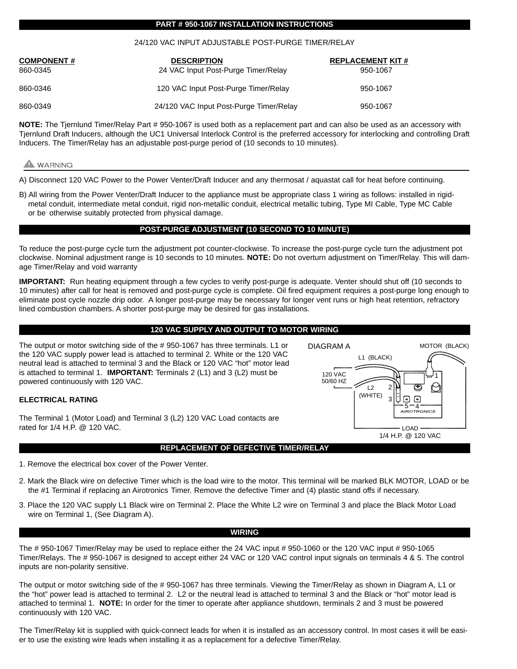#### **PART # 950-1067 INSTALLATION INSTRUCTIONS**

#### 24/120 VAC INPUT ADJUSTABLE POST-PURGE TIMER/RELAY

| <b>COMPONENT#</b><br>860-0345 | <b>DESCRIPTION</b><br>24 VAC Input Post-Purge Timer/Relay | <b>REPLACEMENT KIT #</b><br>950-1067 |
|-------------------------------|-----------------------------------------------------------|--------------------------------------|
| 860-0346                      | 120 VAC Input Post-Purge Timer/Relay                      | 950-1067                             |
| 860-0349                      | 24/120 VAC Input Post-Purge Timer/Relay                   | 950-1067                             |

**NOTE:** The Tjernlund Timer/Relay Part # 950-1067 is used both as a replacement part and can also be used as an accessory with Tjernlund Draft Inducers, although the UC1 Universal Interlock Control is the preferred accessory for interlocking and controlling Draft Inducers. The Timer/Relay has an adjustable post-purge period of (10 seconds to 10 minutes).

### WARNING

A) Disconnect 120 VAC Power to the Power Venter/Draft Inducer and any thermosat / aquastat call for heat before continuing.

B) All wiring from the Power Venter/Draft Inducer to the appliance must be appropriate class 1 wiring as follows: installed in rigidmetal conduit, intermediate metal conduit, rigid non-metallic conduit, electrical metallic tubing, Type MI Cable, Type MC Cable or be otherwise suitably protected from physical damage.

#### **POST-PURGE ADJUSTMENT (10 SECOND TO 10 MINUTE)**

To reduce the post-purge cycle turn the adjustment pot counter-clockwise. To increase the post-purge cycle turn the adjustment pot clockwise. Nominal adjustment range is 10 seconds to 10 minutes. **NOTE:** Do not overturn adjustment on Timer/Relay. This will damage Timer/Relay and void warranty

**IMPORTANT:** Run heating equipment through a few cycles to verify post-purge is adequate. Venter should shut off (10 seconds to 10 minutes) after call for heat is removed and post-purge cycle is complete. Oil fired equipment requires a post-purge long enough to eliminate post cycle nozzle drip odor. A longer post-purge may be necessary for longer vent runs or high heat retention, refractory lined combustion chambers. A shorter post-purge may be desired for gas installations.

#### **120 VAC SUPPLY AND OUTPUT TO MOTOR WIRING**

The output or motor switching side of the # 950-1067 has three terminals. L1 or the 120 VAC supply power lead is attached to terminal 2. White or the 120 VAC neutral lead is attached to terminal 3 and the Black or 120 VAC "hot" motor lead is attached to terminal 1. **IMPORTANT:** Terminals 2 (L1) and 3 (L2) must be powered continuously with 120 VAC.

#### **ELECTRICAL RATING**

The Terminal 1 (Motor Load) and Terminal 3 (L2) 120 VAC Load contacts are rated for 1/4 H.P. @ 120 VAC.

#### **REPLACEMENT OF DEFECTIVE TIMER/RELAY**

- 1. Remove the electrical box cover of the Power Venter.
- 2. Mark the Black wire on defective Timer which is the load wire to the motor. This terminal will be marked BLK MOTOR, LOAD or be the #1 Terminal if replacing an Airotronics Timer. Remove the defective Timer and (4) plastic stand offs if necessary.
- 3. Place the 120 VAC supply L1 Black wire on Terminal 2. Place the White L2 wire on Terminal 3 and place the Black Motor Load wire on Terminal 1, (See Diagram A).

#### **WIRING**

The # 950-1067 Timer/Relay may be used to replace either the 24 VAC input # 950-1060 or the 120 VAC input # 950-1065 Timer/Relays. The # 950-1067 is designed to accept either 24 VAC or 120 VAC control input signals on terminals 4 & 5. The control inputs are non-polarity sensitive.

The output or motor switching side of the # 950-1067 has three terminals. Viewing the Timer/Relay as shown in Diagram A, L1 or the "hot" power lead is attached to terminal 2. L2 or the neutral lead is attached to terminal 3 and the Black or "hot" motor lead is attached to terminal 1. **NOTE:** In order for the timer to operate after appliance shutdown, terminals 2 and 3 must be powered continuously with 120 VAC.

The Timer/Relay kit is supplied with quick-connect leads for when it is installed as an accessory control. In most cases it will be easier to use the existing wire leads when installing it as a replacement for a defective Timer/Relay.

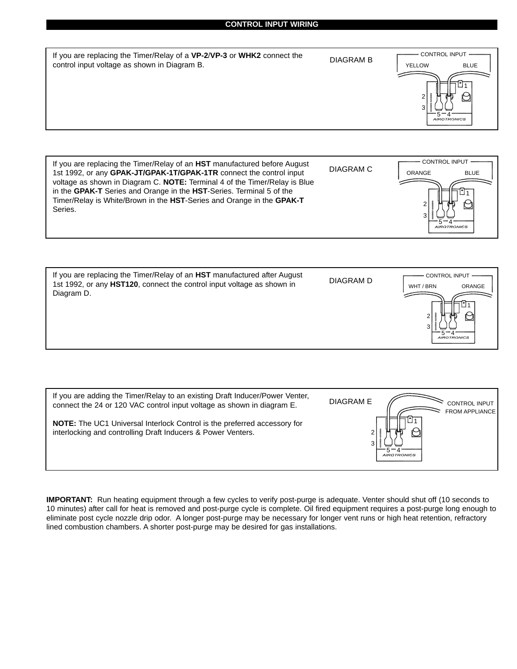#### **CONTROL INPUT WIRING**

|  | If you are replacing the Timer/Relay of a VP-2/VP-3 or WHK2 connect the<br>control input voltage as shown in Diagram B. | <b>DIAGRAM B</b> | <b>CONTROL INPUT</b><br><b>YELLOW</b><br><b>BLUE</b><br>3<br><b>AIROTRONICS</b> |
|--|-------------------------------------------------------------------------------------------------------------------------|------------------|---------------------------------------------------------------------------------|
|--|-------------------------------------------------------------------------------------------------------------------------|------------------|---------------------------------------------------------------------------------|





| If you are adding the Timer/Relay to an existing Draft Inducer/Power Venter,<br>connect the 24 or 120 VAC control input voltage as shown in diagram E. | <b>DIAGRAM E</b><br><b>CONTROL INPUT</b><br><b>FROM APPLIANCE</b> |
|--------------------------------------------------------------------------------------------------------------------------------------------------------|-------------------------------------------------------------------|
| <b>NOTE:</b> The UC1 Universal Interlock Control is the preferred accessory for<br>interlocking and controlling Draft Inducers & Power Venters.        | <i>AIROTRONICS</i>                                                |

**IMPORTANT:** Run heating equipment through a few cycles to verify post-purge is adequate. Venter should shut off (10 seconds to 10 minutes) after call for heat is removed and post-purge cycle is complete. Oil fired equipment requires a post-purge long enough to eliminate post cycle nozzle drip odor. A longer post-purge may be necessary for longer vent runs or high heat retention, refractory lined combustion chambers. A shorter post-purge may be desired for gas installations.